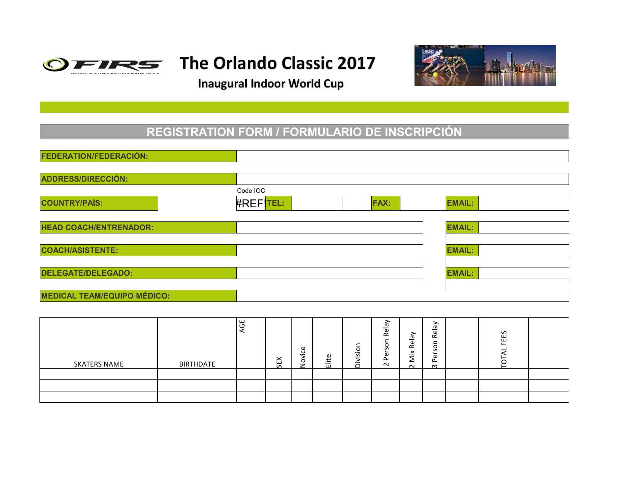

# The Orlando Classic 2017

**Inaugural Indoor World Cup** 



#### **REGISTRATION FORM / FORMULARIO DE INSCRIPCIÓN**

| <b>FEDERATION/FEDERACIÓN:</b>      |                  |                 |     |        |       |          |                  |           |                    |               |              |  |
|------------------------------------|------------------|-----------------|-----|--------|-------|----------|------------------|-----------|--------------------|---------------|--------------|--|
|                                    |                  |                 |     |        |       |          |                  |           |                    |               |              |  |
| <b>ADDRESS/DIRECCIÓN:</b>          |                  |                 |     |        |       |          |                  |           |                    |               |              |  |
|                                    |                  | Code IOC        |     |        |       |          |                  |           |                    |               |              |  |
| <b>COUNTRY/PAÍS:</b>               |                  | <b>#REFTEL:</b> |     |        |       |          | <b>FAX:</b>      |           |                    | <b>EMAIL:</b> |              |  |
| <b>HEAD COACH/ENTRENADOR:</b>      |                  |                 |     |        |       |          |                  |           |                    | <b>EMAIL:</b> |              |  |
|                                    |                  |                 |     |        |       |          |                  |           |                    |               |              |  |
| <b>COACH/ASISTENTE:</b>            |                  |                 |     |        |       |          |                  |           |                    | <b>EMAIL:</b> |              |  |
| <b>DELEGATE/DELEGADO:</b>          |                  |                 |     |        |       |          |                  |           |                    | <b>EMAIL:</b> |              |  |
|                                    |                  |                 |     |        |       |          |                  |           |                    |               |              |  |
| <b>MEDICAL TEAM/EQUIPO MÉDICO:</b> |                  |                 |     |        |       |          |                  |           |                    |               |              |  |
|                                    |                  |                 |     |        |       |          |                  |           |                    |               |              |  |
|                                    |                  | AGE             |     |        |       |          | Relay            | Mix Relay | Relay              |               | FEES         |  |
| <b>SKATERS NAME</b>                | <b>BIRTHDATE</b> |                 | ŠEX | Novice | Elite | Division | Person<br>$\sim$ | $\sim$    | Person<br>$\infty$ |               | <b>TOTAL</b> |  |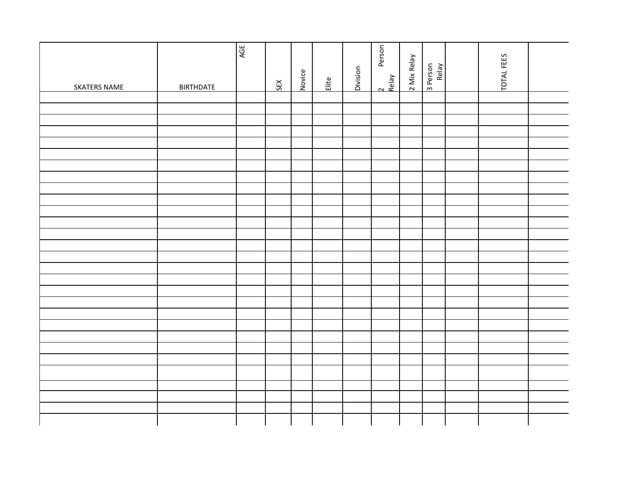| <b>SKATERS NAME</b> | <b>BIRTHDATE</b> | AGE | SEX | Novice | Elite | Division | Person<br>2<br>Relay | 2 Mix Relay | 3 Person<br>Relay | TOTAL FEES |  |
|---------------------|------------------|-----|-----|--------|-------|----------|----------------------|-------------|-------------------|------------|--|
|                     |                  |     |     |        |       |          |                      |             |                   |            |  |
|                     |                  |     |     |        |       |          |                      |             |                   |            |  |
|                     |                  |     |     |        |       |          |                      |             |                   |            |  |
|                     |                  |     |     |        |       |          |                      |             |                   |            |  |
|                     |                  |     |     |        |       |          |                      |             |                   |            |  |
|                     |                  |     |     |        |       |          |                      |             |                   |            |  |
|                     |                  |     |     |        |       |          |                      |             |                   |            |  |
|                     |                  |     |     |        |       |          |                      |             |                   |            |  |
|                     |                  |     |     |        |       |          |                      |             |                   |            |  |
|                     |                  |     |     |        |       |          |                      |             |                   |            |  |
|                     |                  |     |     |        |       |          |                      |             |                   |            |  |
|                     |                  |     |     |        |       |          |                      |             |                   |            |  |
|                     |                  |     |     |        |       |          |                      |             |                   |            |  |
|                     |                  |     |     |        |       |          |                      |             |                   |            |  |
|                     |                  |     |     |        |       |          |                      |             |                   |            |  |
|                     |                  |     |     |        |       |          |                      |             |                   |            |  |
|                     |                  |     |     |        |       |          |                      |             |                   |            |  |
|                     |                  |     |     |        |       |          |                      |             |                   |            |  |
|                     |                  |     |     |        |       |          |                      |             |                   |            |  |
|                     |                  |     |     |        |       |          |                      |             |                   |            |  |
|                     |                  |     |     |        |       |          |                      |             |                   |            |  |
|                     |                  |     |     |        |       |          |                      |             |                   |            |  |
|                     |                  |     |     |        |       |          |                      |             |                   |            |  |
|                     |                  |     |     |        |       |          |                      |             |                   |            |  |
|                     |                  |     |     |        |       |          |                      |             |                   |            |  |
|                     |                  |     |     |        |       |          |                      |             |                   |            |  |
|                     |                  |     |     |        |       |          |                      |             |                   |            |  |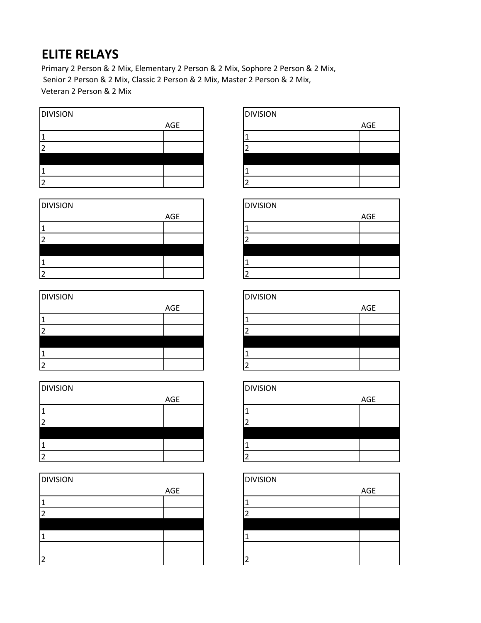### **ELITE RELAYS**

Primary 2 Person & 2 Mix, Elementary 2 Person & 2 Mix, Sophore 2 Person & 2 Mix, Senior 2 Person & 2 Mix, Classic 2 Person & 2 Mix, Master 2 Person & 2 Mix, Veteran 2 Person & 2 Mix



| <b>DIVISION</b> |     | <b>DIVISION</b> |     |
|-----------------|-----|-----------------|-----|
|                 | AGE |                 | AGE |
|                 |     |                 |     |
|                 |     |                 |     |
|                 |     |                 |     |
|                 |     |                 |     |
|                 |     |                 |     |

| <b>DIVISION</b> |     | <b>DIVISION</b> |     |
|-----------------|-----|-----------------|-----|
|                 | AGE |                 | AGE |
|                 |     |                 |     |
|                 |     |                 |     |
|                 |     |                 |     |
|                 |     |                 |     |
|                 |     |                 |     |

| <b>DIVISION</b> |     | <b>DIVISION</b> |     |
|-----------------|-----|-----------------|-----|
|                 | AGE |                 | AGE |
|                 |     |                 |     |
|                 |     |                 |     |
|                 |     |                 |     |
|                 |     |                 |     |
|                 |     |                 |     |

| <b>DIVISION</b> |     | <b>DIVISION</b> |     |
|-----------------|-----|-----------------|-----|
|                 | AGE |                 | AGE |
|                 |     |                 |     |
|                 |     |                 |     |
|                 |     |                 |     |
|                 |     |                 |     |
|                 |     |                 |     |
|                 |     |                 |     |

|     | <b>DIVISION</b> |     |
|-----|-----------------|-----|
| AGE |                 | AGE |
|     |                 |     |
|     |                 |     |
|     |                 |     |
|     |                 |     |
|     |                 |     |

|     | <b>DIVISION</b> |     |
|-----|-----------------|-----|
| AGE |                 | AGE |
|     |                 |     |
|     |                 |     |
|     |                 |     |
|     |                 |     |
|     |                 |     |

|     | <b>DIVISION</b> |     |
|-----|-----------------|-----|
| AGE |                 | AGE |
|     |                 |     |
|     |                 |     |
|     |                 |     |
|     |                 |     |
|     |                 |     |

|     | <b>DIVISION</b> |     |
|-----|-----------------|-----|
| AGE |                 | AGE |
|     |                 |     |
|     |                 |     |
|     |                 |     |
|     |                 |     |
|     |                 |     |

|     | <b>DIVISION</b> |     |
|-----|-----------------|-----|
| AGE |                 | AGE |
|     |                 |     |
|     |                 |     |
|     |                 |     |
|     |                 |     |
|     |                 |     |
|     |                 |     |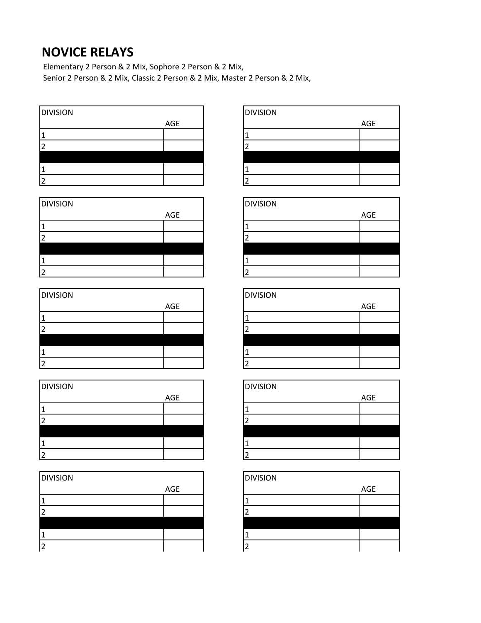#### **NOVICE RELAYS**

Elementary 2 Person & 2 Mix, Sophore 2 Person & 2 Mix, Senior 2 Person & 2 Mix, Classic 2 Person & 2 Mix, Master 2 Person & 2 Mix,

| <b>DIVISION</b> |     | <b>DIVISION</b> |     |
|-----------------|-----|-----------------|-----|
|                 | AGE |                 | AGE |
|                 |     |                 |     |
| ∠               |     |                 |     |
|                 |     |                 |     |
|                 |     |                 |     |
| ∽               |     |                 |     |

| <b>DIVISION</b> |     | <b>DIVISION</b> |     |
|-----------------|-----|-----------------|-----|
|                 | AGE |                 | AGE |
|                 |     |                 |     |
|                 |     |                 |     |
|                 |     |                 |     |
|                 |     |                 |     |
|                 |     |                 |     |

| <b>DIVISION</b> |     | <b>DIVISION</b> |     |
|-----------------|-----|-----------------|-----|
|                 | AGE |                 | AGE |
|                 |     |                 |     |
|                 |     |                 |     |
|                 |     |                 |     |
|                 |     |                 |     |
|                 |     |                 |     |

| <b>DIVISION</b> |     | <b>DIVISION</b> |     |
|-----------------|-----|-----------------|-----|
|                 | AGE |                 | AGE |
|                 |     |                 |     |
|                 |     |                 |     |
|                 |     |                 |     |
|                 |     |                 |     |
|                 |     |                 |     |

| <b>DIVISION</b> |     | <b>DIVISION</b> |     |
|-----------------|-----|-----------------|-----|
|                 | AGE |                 | AGE |
|                 |     |                 |     |
|                 |     |                 |     |
|                 |     |                 |     |
|                 |     |                 |     |
|                 |     |                 |     |

|     | <b>DIVISION</b> |     |
|-----|-----------------|-----|
| AGE |                 | AGE |
|     |                 |     |
|     |                 |     |
|     |                 |     |
|     |                 |     |
|     |                 |     |

|     | <b>DIVISION</b> |     |
|-----|-----------------|-----|
| AGE |                 | AGE |
|     |                 |     |
|     |                 |     |
|     |                 |     |
|     |                 |     |
|     |                 |     |

|     | <b>DIVISION</b> |     |
|-----|-----------------|-----|
| AGE |                 | AGE |
|     |                 |     |
|     |                 |     |
|     |                 |     |
|     |                 |     |
|     |                 |     |

|     | <b>DIVISION</b> |     |
|-----|-----------------|-----|
| AGE |                 | AGE |
|     |                 |     |
|     |                 |     |
|     |                 |     |
|     |                 |     |
|     |                 |     |

|     | <b>DIVISION</b> |     |
|-----|-----------------|-----|
| AGE |                 | AGE |
|     |                 |     |
|     |                 |     |
|     |                 |     |
|     |                 |     |
|     | ∼               |     |